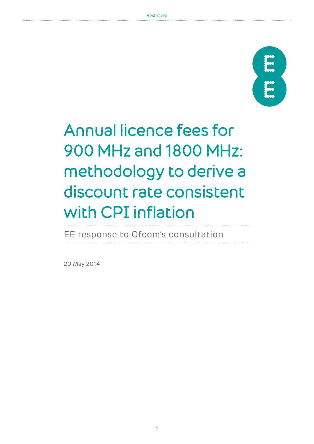

# Annual licence fees for 900 MHz and 1800 MHz: methodology to derive a discount rate consistent with CPI inflation

EE response to Ofcom's consultation

20 May 2014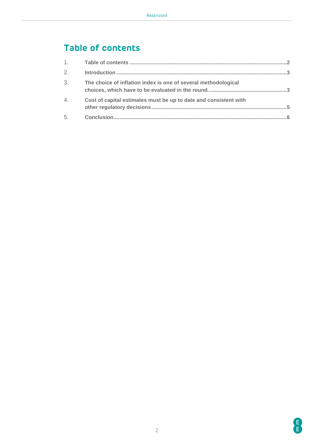## <span id="page-1-0"></span>**Table of contents**

| 2. |                                                                  |  |
|----|------------------------------------------------------------------|--|
| 3. | The choice of inflation index is one of several methodological   |  |
| 4. | Cost of capital estimates must be up to date and consistent with |  |
| 5. |                                                                  |  |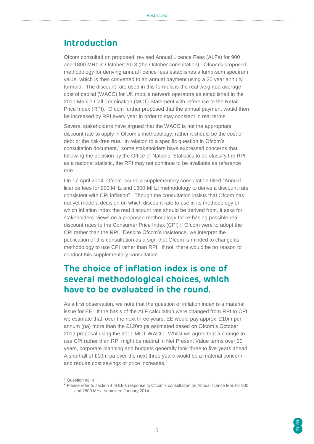#### <span id="page-2-0"></span>**Introduction**

Ofcom consulted on proposed, revised Annual Licence Fees (ALFs) for 900 and 1800 MHz in October 2013 (the October consultation). Ofcom's proposed methodology for deriving annual licence fees establishes a lump-sum spectrum value, which is then converted to an annual payment using a 20 year annuity formula. The discount rate used in this formula is the real weighted average cost of capital (WACC) for UK mobile network operators as established in the 2011 Mobile Call Termination (MCT) Statement with reference to the Retail Price Index (RPI). Ofcom further proposed that the annual payment would then be increased by RPI every year in order to stay constant in real terms.

Several stakeholders have argued that the WACC is not the appropriate discount rate to apply in Ofcom's methodology, rather it should be the cost of debt or the risk-free rate. In relation to a specific question in Ofcom's consultation document, <sup>1</sup> some stakeholders have expressed concerns that, following the decision by the Office of National Statistics to de-classify the RPI as a national statistic, the RPI may not continue to be available as reference rate.

On 17 April 2014, Ofcom issued a supplementary consultation titled "Annual licence fees for 900 MHz and 1800 MHz: methodology to derive a discount rate consistent with CPI inflation". Though the consultation insists that Ofcom has not yet made a decision on which discount rate to use in its methodology or which inflation index the real discount rate should be derived from, it asks for stakeholders' views on a proposed methodology for re-basing possible real discount rates to the Consumer Price Index (CPI) if Ofcom were to adopt the CPI rather than the RPI. Despite Ofcom's insistence, we interpret the publication of this consultation as a sign that Ofcom is minded to change its methodology to use CPI rather than RPI. If not, there would be no reason to conduct this supplementary consultation.

#### <span id="page-2-1"></span>**The choice of inflation index is one of several methodological choices, which have to be evaluated in the round.**

As a first observation, we note that the question of inflation index is a material issue for EE. If the basis of the ALF calculation were changed from RPI to CPI, we estimate that, over the next three years, EE would pay approx. £10m per annum (pa) more than the £120m pa estimated based on Ofcom's October 2013 proposal using the 2011 MCT WACC. Whilst we agree that a change to use CPI rather than RPI might be neutral in Net Present Value terms over 20 years, corporate planning and budgets generally look three to five years ahead. A shortfall of £10m pa over the next three years would be a material concern and require cost savings or price increases. 2

<sup>1</sup> Question no. 4

<sup>2</sup> Please refer to section 4 of EE's response to Ofcom's consultation on Annual licence fees for 900 and 1800 MHz, submitted January 2014.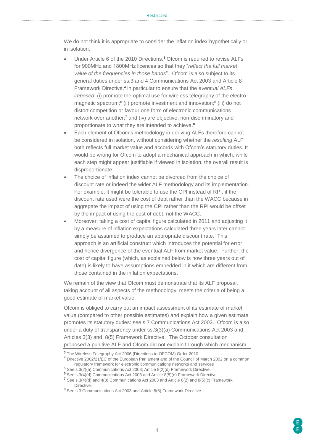We do not think it is appropriate to consider the inflation index hypothetically or in isolation.

- Under Article 6 of the 2010 Directions,<sup>3</sup> Ofcom is required to revise ALFs for 900MHz and 1800MHz licences so that they "*reflect the full market value of the frequencies in those bands*". Ofcom is also subject to its general duties under ss.3 and 4 Communications Act 2003 and Article 8 Framework Directive, 4 in particular to ensure that the *eventual ALFs imposed*: (i) promote the optimal use for wireless telegraphy of the electromagnetic spectrum;<sup>5</sup> (ii) promote investment and innovation;<sup>6</sup> (iii) do not distort competition or favour one form of electronic communications network over another;<sup>7</sup> and (iv) are objective, non-discriminatory and proportionate to what they are intended to achieve.<sup>8</sup>
- Each element of Ofcom's methodology in deriving ALFs therefore cannot be considered in isolation, without considering whether the *resulting* ALF both reflects full market value and accords with Ofcom's statutory duties. It would be wrong for Ofcom to adopt a mechanical approach in which, while each step might appear justifiable if viewed in isolation, the overall result is disproportionate.
- The choice of inflation index cannot be divorced from the choice of discount rate or indeed the wider ALF methodology and its implementation. For example, it might be tolerable to use the CPI instead of RPI, if the discount rate used were the cost of debt rather than the WACC because in aggregate the impact of using the CPI rather than the RPI would be offset by the impact of using the cost of debt, not the WACC.
- Moreover, taking a cost of capital figure calculated in 2011 and adjusting it by a measure of inflation expectations calculated three years later cannot simply be assumed to produce an appropriate discount rate. This approach is an artificial construct which introduces the potential for error and hence divergence of the eventual ALF from market value. Further, the cost of capital figure (which, as explained below is now three years out of date) is likely to have assumptions embedded in it which are different from those contained in the inflation expectations.

We remain of the view that Ofcom must demonstrate that its ALF proposal, taking account of all aspects of the methodology, meets the criteria of being a good estimate of market value.

Ofcom is obliged to carry out an impact assessment of its estimate of market value (compared to other possible estimates) and explain how a given estimate promotes its statutory duties: see s.7 Communications Act 2003. Ofcom is also under a duty of transparency under ss.3(3)(a) Communications Act 2003 and Articles 3(3) and 8(5) Framework Directive. The October consultation proposed a punitive ALF and Ofcom did not explain through which mechanism

<sup>3</sup> The Wireless Telegraphy Act 2006 (Directions to OFCOM) Order 2010

<sup>4</sup> Directive [2002/21/EC](http://eur-lex.europa.eu/LexUriServ/LexUriServ.do?uri=CELEX:32002L0021:EN:NOT) of the European Parliament and of the Council of March 2002 on a common regulatory framework for electronic communications networks and services

<sup>5</sup> See s.3(2)(a) Communications Act 2003; Article 8(2)(d) Framework Directive.

<sup>6</sup> See s.3(4)(d) Communications Act 2003 and Article 8(5)(d) Framework Directive.

 $7$  See s.3(4)(d) and 4(3) Communications Act 2003 and Article 8(2) and 8(5)(c) Framework **Directive** 

<sup>&</sup>lt;sup>8</sup> See s.3 Communications Act 2003 and Article 8(5) Framework Directive.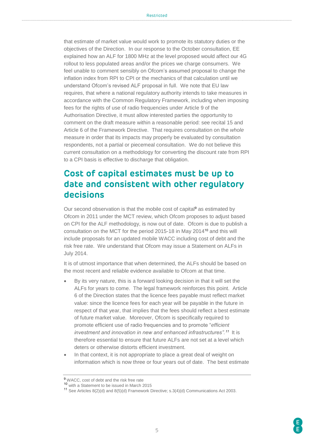that estimate of market value would work to promote its statutory duties or the objectives of the Direction. In our response to the October consultation, EE explained how an ALF for 1800 MHz at the level proposed would affect our 4G rollout to less populated areas and/or the prices we charge consumers. We feel unable to comment sensibly on Ofcom's assumed proposal to change the inflation index from RPI to CPI or the mechanics of that calculation until we understand Ofcom's revised ALF proposal in full. We note that EU law requires, that where a national regulatory authority intends to take measures in accordance with the Common Regulatory Framework, including when imposing fees for the rights of use of radio frequencies under Article 9 of the Authorisation Directive, it must allow interested parties the opportunity to comment on the draft measure within a reasonable period: see recital 15 and Article 6 of the Framework Directive. That requires consultation on the *whole* measure in order that its impacts may properly be evaluated by consultation respondents, not a partial or piecemeal consultation. We do not believe this current consultation on a methodology for converting the discount rate from RPI to a CPI basis is effective to discharge that obligation.

### <span id="page-4-0"></span>**Cost of capital estimates must be up to date and consistent with other regulatory decisions**

Our second observation is that the mobile cost of capital<sup>9</sup> as estimated by Ofcom in 2011 under the MCT review, which Ofcom proposes to adjust based on CPI for the ALF methodology, is now out of date. Ofcom is due to publish a consultation on the MCT for the period 2015-18 in May 2014<sup>10</sup> and this will include proposals for an updated mobile WACC including cost of debt and the risk free rate. We understand that Ofcom may issue a Statement on ALFs in July 2014.

It is of utmost importance that when determined, the ALFs should be based on the most recent and reliable evidence available to Ofcom at that time.

- By its very nature, this is a forward looking decision in that it will set the ALFs for years to come. The legal framework reinforces this point. Article 6 of the Direction states that the licence fees payable must reflect market value: since the licence fees for each year will be payable in the future in respect of that year, that implies that the fees should reflect a best estimate of future market value. Moreover, Ofcom is specifically required to promote efficient use of radio frequencies and to promote "*efficient investment and innovation in new and enhanced infrastructures".*<sup>11</sup> It is therefore essential to ensure that future ALFs are not set at a level which deters or otherwise distorts efficient investment.
- In that context, it is not appropriate to place a great deal of weight on information which is now three or four years out of date. The best estimate

<sup>&</sup>lt;sup>9</sup> WACC, cost of debt and the risk free rate

<sup>10</sup> with a Statement to be issued in March 2015

<sup>11</sup> See Articles 8(2)(d) and 8(5)(d) Framework Directive; s.3(4)(d) Communications Act 2003.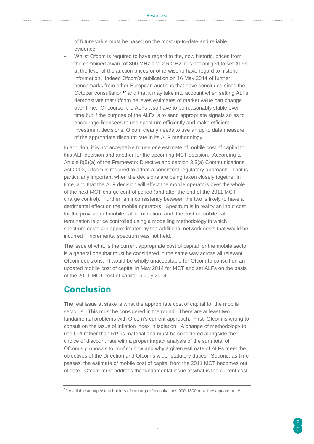of future value must be based on the most up-to-date and reliable evidence.

 Whilst Ofcom is required to have regard to the, now historic, prices from the combined award of 800 MHz and 2.6 GHz; it is not obliged to set ALFs at the level of the auction prices or otherwise to have regard to historic information. Indeed Ofcom's publication on 16 May 2014 of further benchmarks from other European auctions that have concluded since the October consultation<sup>12</sup> and that it may take into account when setting ALFs, demonstrate that Ofcom believes estimates of market value can change over time. Of course, the ALFs also have to be reasonably stable over time but if the purpose of the ALFs is to send appropriate signals so as to encourage licensees to use spectrum efficiently and make efficient investment decisions, Ofcom clearly needs to use an up to date measure of the appropriate discount rate in its ALF methodology.

In addition, it is not acceptable to use one estimate of mobile cost of capital for this ALF decision and another for the upcoming MCT decision. According to Article 8(5)(a) of the Framework Directive and section 3.3(a) Communications Act 2003, Ofcom is required to adopt a consistent regulatory approach. That is particularly important when the decisions are being taken closely together in time, and that the ALF decision will affect the mobile operators over the whole of the next MCT charge control period (and after the end of the 2011 MCT charge control). Further, an inconsistency between the two is likely to have a detrimental effect on the mobile operators. Spectrum is in reality an input cost for the provision of mobile call termination, and the cost of mobile call termination is price controlled using a modelling methodology in which spectrum costs are approximated by the additional network costs that would be incurred if incremental spectrum was not held.

The issue of what is the current appropriate cost of capital for the mobile sector is a general one that must be considered in the same way across all relevant Ofcom decisions. It would be wholly unacceptable for Ofcom to consult on an updated mobile cost of capital in May 2014 for MCT and set ALFs on the basis of the 2011 MCT cost of capital in July 2014.

#### <span id="page-5-0"></span>**Conclusion**

The real issue at stake is what the appropriate cost of capital for the mobile sector is. This must be considered in the round. There are at least two fundamental problems with Ofcom's current approach. First, Ofcom is wrong to consult on the issue of inflation index in isolation. A change of methodology to use CPI rather than RPI is material and must be considered alongside the choice of discount rate with a proper impact analysis of the sum total of Ofcom's proposals to confirm how and why a given estimate of ALFs meet the objectives of the Direction and Ofcom's wider statutory duties. Second, as time passes, the estimate of mobile cost of capital from the 2011 MCT becomes out of date. Ofcom must address the fundamental issue of what is the current cost

<sup>12</sup> Available at http://stakeholders.ofcom.org.uk/consultations/900-1800-mhz-fees/update-note/